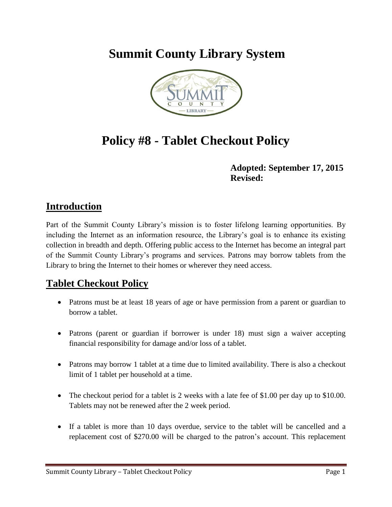## **Summit County Library System**



# **Policy #8 - Tablet Checkout Policy**

#### **Adopted: September 17, 2015 Revised:**

#### **Introduction**

Part of the Summit County Library's mission is to foster lifelong learning opportunities. By including the Internet as an information resource, the Library's goal is to enhance its existing collection in breadth and depth. Offering public access to the Internet has become an integral part of the Summit County Library's programs and services. Patrons may borrow tablets from the Library to bring the Internet to their homes or wherever they need access.

### **Tablet Checkout Policy**

- Patrons must be at least 18 years of age or have permission from a parent or guardian to borrow a tablet.
- Patrons (parent or guardian if borrower is under 18) must sign a waiver accepting financial responsibility for damage and/or loss of a tablet.
- Patrons may borrow 1 tablet at a time due to limited availability. There is also a checkout limit of 1 tablet per household at a time.
- The checkout period for a tablet is 2 weeks with a late fee of \$1.00 per day up to \$10.00. Tablets may not be renewed after the 2 week period.
- If a tablet is more than 10 days overdue, service to the tablet will be cancelled and a replacement cost of \$270.00 will be charged to the patron's account. This replacement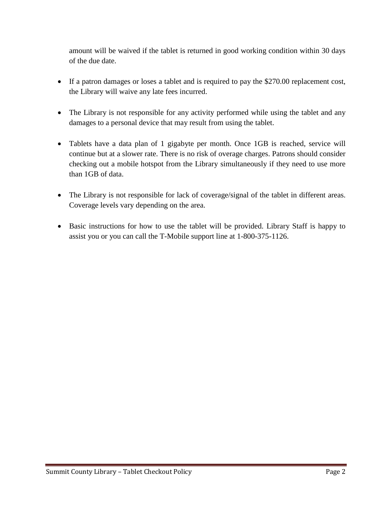amount will be waived if the tablet is returned in good working condition within 30 days of the due date.

- If a patron damages or loses a tablet and is required to pay the \$270.00 replacement cost, the Library will waive any late fees incurred.
- The Library is not responsible for any activity performed while using the tablet and any damages to a personal device that may result from using the tablet.
- Tablets have a data plan of 1 gigabyte per month. Once 1GB is reached, service will continue but at a slower rate. There is no risk of overage charges. Patrons should consider checking out a mobile hotspot from the Library simultaneously if they need to use more than 1GB of data.
- The Library is not responsible for lack of coverage/signal of the tablet in different areas. Coverage levels vary depending on the area.
- Basic instructions for how to use the tablet will be provided. Library Staff is happy to assist you or you can call the T-Mobile support line at 1-800-375-1126.